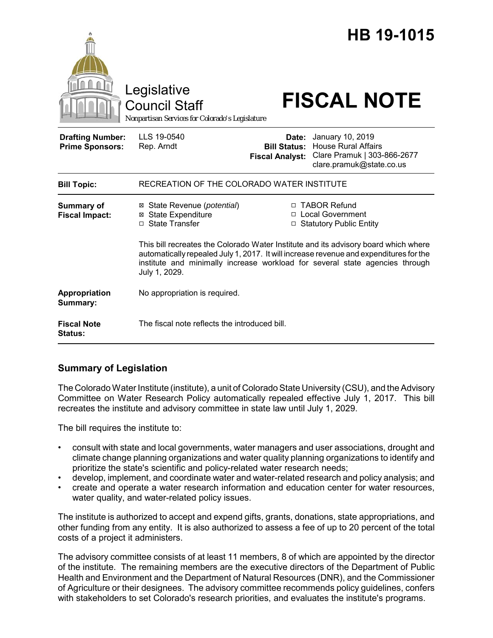|                                                   | Legislative<br><b>Council Staff</b><br>Nonpartisan Services for Colorado's Legislature                                                                                                                                                                                         |                                                        | HB 19-1015<br><b>FISCAL NOTE</b>                                                                          |
|---------------------------------------------------|--------------------------------------------------------------------------------------------------------------------------------------------------------------------------------------------------------------------------------------------------------------------------------|--------------------------------------------------------|-----------------------------------------------------------------------------------------------------------|
| <b>Drafting Number:</b><br><b>Prime Sponsors:</b> | LLS 19-0540<br>Rep. Arndt                                                                                                                                                                                                                                                      | Date:<br><b>Bill Status:</b><br><b>Fiscal Analyst:</b> | January 10, 2019<br><b>House Rural Affairs</b><br>Clare Pramuk   303-866-2677<br>clare.pramuk@state.co.us |
| <b>Bill Topic:</b>                                | RECREATION OF THE COLORADO WATER INSTITUTE                                                                                                                                                                                                                                     |                                                        |                                                                                                           |
| <b>Summary of</b><br><b>Fiscal Impact:</b>        | ⊠ State Revenue ( <i>potential</i> )<br><b>⊠ State Expenditure</b><br>□ State Transfer                                                                                                                                                                                         |                                                        | □ TABOR Refund<br>□ Local Government<br>□ Statutory Public Entity                                         |
|                                                   | This bill recreates the Colorado Water Institute and its advisory board which where<br>automatically repealed July 1, 2017. It will increase revenue and expenditures for the<br>institute and minimally increase workload for several state agencies through<br>July 1, 2029. |                                                        |                                                                                                           |
| Appropriation<br>Summary:                         | No appropriation is required.                                                                                                                                                                                                                                                  |                                                        |                                                                                                           |
| <b>Fiscal Note</b><br><b>Status:</b>              | The fiscal note reflects the introduced bill.                                                                                                                                                                                                                                  |                                                        |                                                                                                           |

## **Summary of Legislation**

The Colorado Water Institute (institute), a unit of Colorado State University (CSU), and the Advisory Committee on Water Research Policy automatically repealed effective July 1, 2017. This bill recreates the institute and advisory committee in state law until July 1, 2029.

The bill requires the institute to:

- consult with state and local governments, water managers and user associations, drought and climate change planning organizations and water quality planning organizations to identify and prioritize the state's scientific and policy-related water research needs;
- develop, implement, and coordinate water and water-related research and policy analysis; and
- create and operate a water research information and education center for water resources, water quality, and water-related policy issues.

The institute is authorized to accept and expend gifts, grants, donations, state appropriations, and other funding from any entity. It is also authorized to assess a fee of up to 20 percent of the total costs of a project it administers.

The advisory committee consists of at least 11 members, 8 of which are appointed by the director of the institute. The remaining members are the executive directors of the Department of Public Health and Environment and the Department of Natural Resources (DNR), and the Commissioner of Agriculture or their designees. The advisory committee recommends policy guidelines, confers with stakeholders to set Colorado's research priorities, and evaluates the institute's programs.